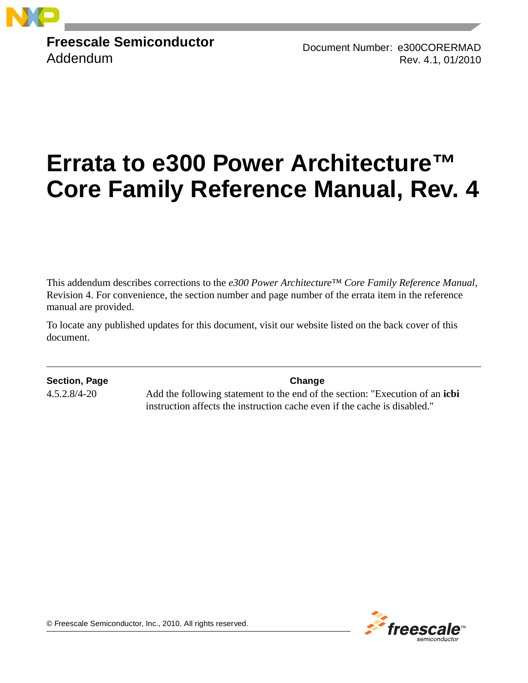

**Freescale Semiconductor** Addendum

Document Number: e300CORERMAD Rev. 4.1, 01/2010

# **Errata to e300 Power Architecture™ Core Family Reference Manual, Rev. 4**

This addendum describes corrections to the *e300 Power Architecture™ Core Family Reference Manual,*  Revision 4. For convenience, the section number and page number of the errata item in the reference manual are provided.

To locate any published updates for this document, visit our website listed on the back cover of this document.

**Section, Page Change**

4.5.2.8/4-20 Add the following statement to the end of the section: "Execution of an **icbi** instruction affects the instruction cache even if the cache is disabled."



© Freescale Semiconductor, Inc., 2010. All rights reserved.